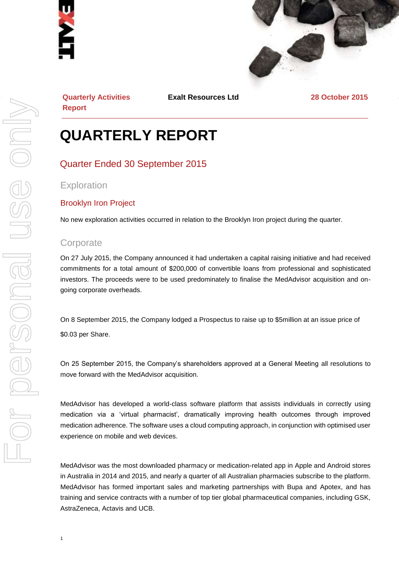



**Quarterly Activities Report**

**Exalt Resources Ltd 28 October 2015**

# **QUARTERLY REPORT**

## Quarter Ended 30 September 2015

**Exploration** 

#### Brooklyn Iron Project

No new exploration activities occurred in relation to the Brooklyn Iron project during the quarter.

#### **Corporate**

On 27 July 2015, the Company announced it had undertaken a capital raising initiative and had received commitments for a total amount of \$200,000 of convertible loans from professional and sophisticated investors. The proceeds were to be used predominately to finalise the MedAdvisor acquisition and ongoing corporate overheads.

On 8 September 2015, the Company lodged a Prospectus to raise up to \$5million at an issue price of \$0.03 per Share.

On 25 September 2015, the Company's shareholders approved at a General Meeting all resolutions to move forward with the MedAdvisor acquisition.

MedAdvisor has developed a world-class software platform that assists individuals in correctly using medication via a 'virtual pharmacist', dramatically improving health outcomes through improved medication adherence. The software uses a cloud computing approach, in conjunction with optimised user experience on mobile and web devices.

MedAdvisor was the most downloaded pharmacy or medication-related app in Apple and Android stores in Australia in 2014 and 2015, and nearly a quarter of all Australian pharmacies subscribe to the platform. MedAdvisor has formed important sales and marketing partnerships with Bupa and Apotex, and has training and service contracts with a number of top tier global pharmaceutical companies, including GSK, AstraZeneca, Actavis and UCB.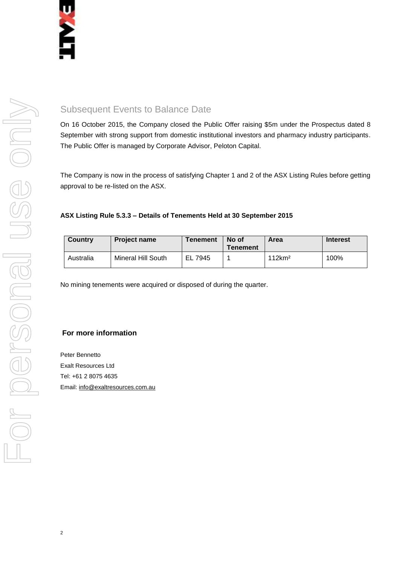# Subsequent Events to Balance Date

On 16 October 2015, the Company closed the Public Offer raising \$5m under the Prospectus dated 8 September with strong support from domestic institutional investors and pharmacy industry participants. The Public Offer is managed by Corporate Advisor, Peloton Capital.

The Company is now in the process of satisfying Chapter 1 and 2 of the ASX Listing Rules before getting approval to be re-listed on the ASX.

#### **ASX Listing Rule 5.3.3 – Details of Tenements Held at 30 September 2015**

| Country   | <b>Project name</b> | <b>Tenement</b> | No of<br><b>Tenement</b> | Area               | <b>Interest</b> |
|-----------|---------------------|-----------------|--------------------------|--------------------|-----------------|
| Australia | Mineral Hill South  | EL 7945         |                          | 112km <sup>2</sup> | 100%            |

No mining tenements were acquired or disposed of during the quarter.

#### **For more information**

Peter Bennetto Exalt Resources Ltd Tel: +61 2 8075 4635 Email[: info@exaltresources.com.au](mailto:info@exaltresources.com.au)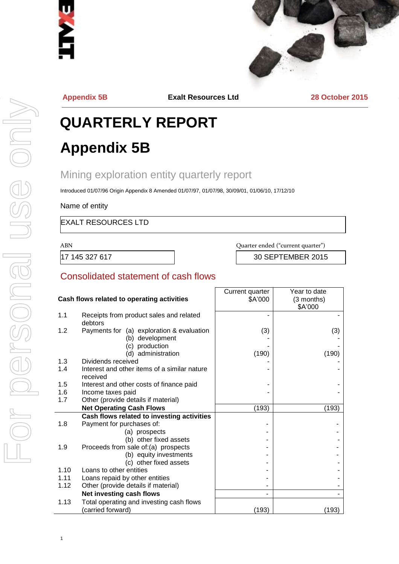



**Appendix 5B Exalt Resources Ltd 28 October 2015**

# **QUARTERLY REPORT Appendix 5B**

# Mining exploration entity quarterly report

Introduced 01/07/96 Origin Appendix 8 Amended 01/07/97, 01/07/98, 30/09/01, 01/06/10, 17/12/10

Name of entity

EXALT RESOURCES LTD

ABN Quarter ended ("current quarter")

17 145 327 617 30 SEPTEMBER 2015

#### Consolidated statement of cash flows

|      |                                                               | Current quarter | Year to date          |
|------|---------------------------------------------------------------|-----------------|-----------------------|
|      | Cash flows related to operating activities                    | \$A'000         | (3 months)<br>\$A'000 |
| 1.1  | Receipts from product sales and related<br>debtors            |                 |                       |
| 1.2  | Payments for (a) exploration & evaluation<br>(b) development  | (3)             | (3)                   |
|      | (c) production<br>(d) administration                          | (190)           | (190)                 |
| 1.3  | Dividends received                                            |                 |                       |
| 1.4  | Interest and other items of a similar nature<br>received      |                 |                       |
| 1.5  | Interest and other costs of finance paid                      |                 |                       |
| 1.6  | Income taxes paid                                             |                 |                       |
| 1.7  | Other (provide details if material)                           |                 |                       |
|      | <b>Net Operating Cash Flows</b>                               | (193)           | (193)                 |
|      | Cash flows related to investing activities                    |                 |                       |
| 1.8  | Payment for purchases of:                                     |                 |                       |
|      | (a) prospects                                                 |                 |                       |
|      | (b) other fixed assets                                        |                 |                       |
| 1.9  | Proceeds from sale of:(a) prospects                           |                 |                       |
|      | (b) equity investments                                        |                 |                       |
|      | (c) other fixed assets                                        |                 |                       |
| 1.10 | Loans to other entities                                       |                 |                       |
| 1.11 | Loans repaid by other entities                                |                 |                       |
| 1.12 | Other (provide details if material)                           |                 |                       |
|      | Net investing cash flows                                      |                 |                       |
| 1.13 | Total operating and investing cash flows<br>(carried forward) | (193)           | (193)                 |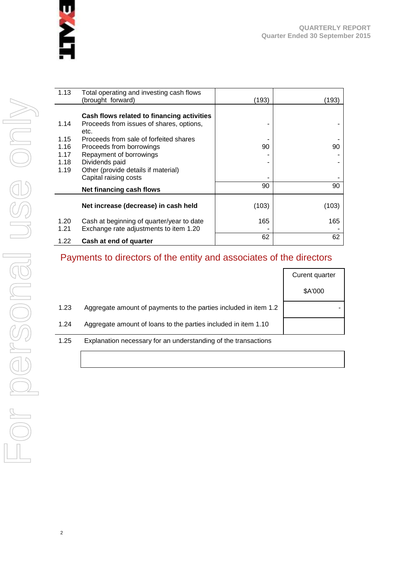

| 1.13         | Total operating and investing cash flows<br>(brought forward)                       | (193) | (193) |
|--------------|-------------------------------------------------------------------------------------|-------|-------|
|              | Cash flows related to financing activities                                          |       |       |
| 1.14         | Proceeds from issues of shares, options,<br>etc.                                    |       |       |
| 1.15         | Proceeds from sale of forfeited shares                                              |       |       |
| 1.16         | Proceeds from borrowings                                                            | 90    | 90    |
| 1.17         | Repayment of borrowings                                                             |       |       |
| 1.18         | Dividends paid                                                                      |       |       |
| 1.19         | Other (provide details if material)                                                 |       |       |
|              | Capital raising costs                                                               |       |       |
|              | Net financing cash flows                                                            | 90    | 90    |
|              | Net increase (decrease) in cash held                                                | (103) | (103) |
| 1.20<br>1.21 | Cash at beginning of quarter/year to date<br>Exchange rate adjustments to item 1.20 | 165   | 165   |
| 1.22         | Cash at end of quarter                                                              | 62    | 62    |

# Payments to directors of the entity and associates of the directors

|      |                                                                  | Curent quarter |
|------|------------------------------------------------------------------|----------------|
|      |                                                                  | \$A'000        |
| 1.23 | Aggregate amount of payments to the parties included in item 1.2 |                |
| 1.24 | Aggregate amount of loans to the parties included in item 1.10   |                |
| 1.25 | Explanation necessary for an understanding of the transactions   |                |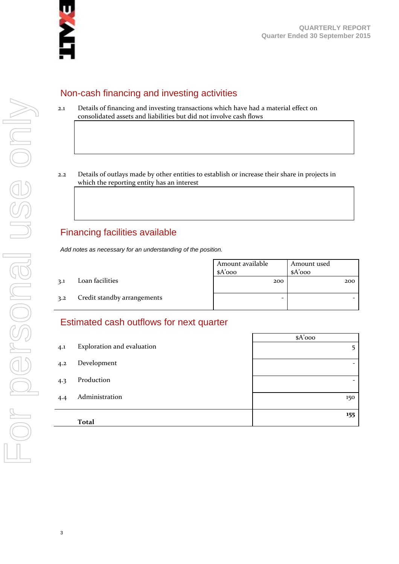

#### Non-cash financing and investing activities

- 2.1 Details of financing and investing transactions which have had a material effect on consolidated assets and liabilities but did not involve cash flows
- 2.2 Details of outlays made by other entities to establish or increase their share in projects in which the reporting entity has an interest

## Financing facilities available

*Add notes as necessary for an understanding of the position.*

|     |                             | Amount available<br>\$A'ooo | Amount used<br>$A'$ 000 |
|-----|-----------------------------|-----------------------------|-------------------------|
| 3.1 | Loan facilities             | 200                         | 200                     |
| 3.2 | Credit standby arrangements | -                           |                         |

#### Estimated cash outflows for next quarter

|     |                            | $A'$ 000                 |
|-----|----------------------------|--------------------------|
| 4.1 | Exploration and evaluation | 5                        |
| 4.2 | Development                | $\overline{\phantom{a}}$ |
| 4.3 | Production                 | $\overline{\phantom{0}}$ |
| 4.4 | Administration             | 150                      |
|     | <b>Total</b>               | 155                      |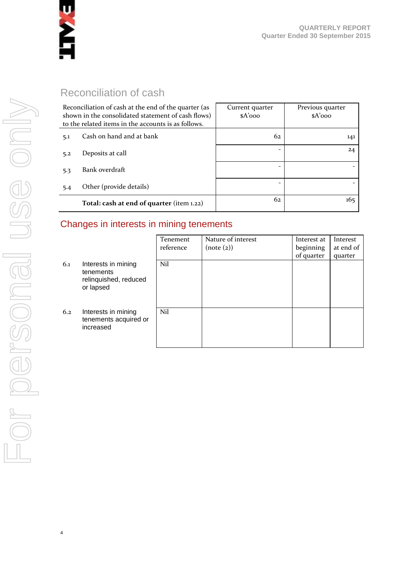

# Reconciliation of cash

| Reconciliation of cash at the end of the quarter (as<br>shown in the consolidated statement of cash flows)<br>to the related items in the accounts is as follows. |                                           | Current quarter<br>$A'$ 000 | Previous quarter<br>$A'$ 000 |
|-------------------------------------------------------------------------------------------------------------------------------------------------------------------|-------------------------------------------|-----------------------------|------------------------------|
| 5.1                                                                                                                                                               | Cash on hand and at bank                  | 62                          | 141                          |
| 5.2                                                                                                                                                               | Deposits at call                          |                             | 24                           |
| 5.3                                                                                                                                                               | Bank overdraft                            |                             |                              |
| 5.4                                                                                                                                                               | Other (provide details)                   |                             |                              |
|                                                                                                                                                                   | Total: cash at end of quarter (item 1.22) | 62                          | 165                          |

# Changes in interests in mining tenements

|     |                                                                        | Tenement<br>reference | Nature of interest<br>(note (2)) | Interest at<br>beginning | Interest<br>at end of |
|-----|------------------------------------------------------------------------|-----------------------|----------------------------------|--------------------------|-----------------------|
|     |                                                                        |                       |                                  | of quarter               | quarter               |
| 6.1 | Interests in mining<br>tenements<br>relinquished, reduced<br>or lapsed | Nil                   |                                  |                          |                       |
| 6.2 | Interests in mining<br>tenements acquired or<br>increased              | Nil                   |                                  |                          |                       |

4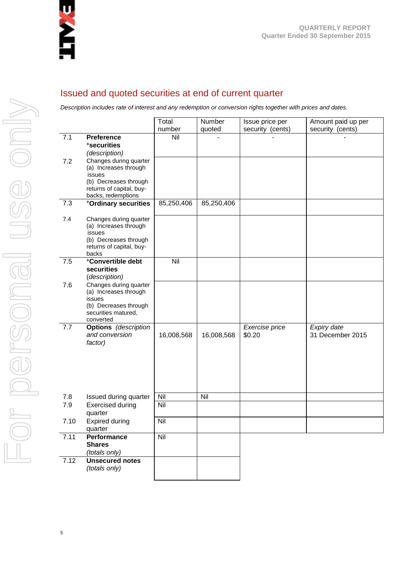

#### Issued and quoted securities at end of current quarter

*Description includes rate of interest and any redemption or conversion rights together with prices and dates.*

|      |                                                                                                                                      | Total      | Number     | Issue price per          | Amount paid up per              |
|------|--------------------------------------------------------------------------------------------------------------------------------------|------------|------------|--------------------------|---------------------------------|
|      |                                                                                                                                      | number     | quoted     | security (cents)         | security (cents)                |
| 7.1  | <b>Preference</b><br>*securities<br>(description)                                                                                    | Nil        |            |                          |                                 |
| 7.2  | Changes during quarter<br>(a) Increases through<br>issues<br>(b) Decreases through<br>returns of capital, buy-<br>backs, redemptions |            |            |                          |                                 |
| 7.3  | +Ordinary securities                                                                                                                 | 85,250,406 | 85,250,406 |                          |                                 |
| 7.4  | Changes during quarter<br>(a) Increases through<br>issues<br>(b) Decreases through<br>returns of capital, buy-<br>backs              |            |            |                          |                                 |
| 7.5  | +Convertible debt<br>securities<br>(description)                                                                                     | Nil        |            |                          |                                 |
| 7.6  | Changes during quarter<br>(a) Increases through<br>issues<br>(b) Decreases through<br>securities matured,<br>converted               |            |            |                          |                                 |
| 7.7  | <b>Options</b> (description<br>and conversion<br>factor)                                                                             | 16,008,568 | 16,008,568 | Exercise price<br>\$0.20 | Expiry date<br>31 December 2015 |
| 7.8  | Issued during quarter                                                                                                                | Nil        | Nil        |                          |                                 |
| 7.9  | <b>Exercised during</b><br>quarter                                                                                                   | Nil        |            |                          |                                 |
| 7.10 | <b>Expired during</b><br>quarter                                                                                                     | Nil        |            |                          |                                 |
| 7.11 | Performance<br><b>Shares</b><br>(totals_only)                                                                                        | Nil        |            |                          |                                 |
| 7.12 | <b>Unsecured notes</b><br>(totals only)                                                                                              |            |            |                          |                                 |